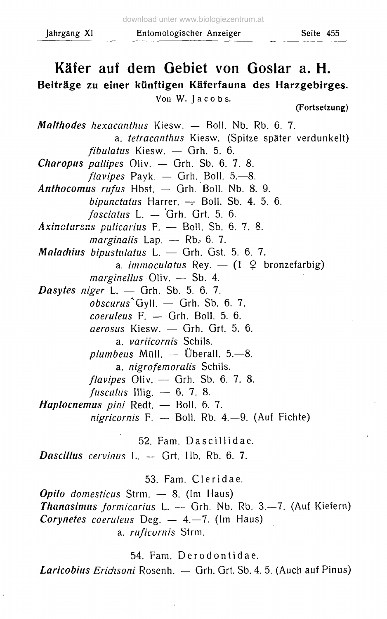## **Käfer auf dem Gebiet von Goslar a. H. Beiträge zu einer künftigen Käferfauna des Harzgebirges.** Von W. Jacobs. **(Fortsetzung)** *Malthodes hexacanthus* Kiesw. — Boll. Nb. Rb. 6. 7. a. *tetracanthus* Kiesw. (Spitze später verdunkelt) *fibulatus* Kiesw. — Grh. 5. 6. *Charopus pallipes* Oliv. — Grh. Sb. 6. 7. 8.  $flavipes$  Payk.  $-$  Grh. Boll. 5. $-8$ . *Anthocomus rufus* Hbst. — Grh. Boll. Nb. 8. 9. *bipunctatus* Harrer. - Boll. Sb. 4. 5. 6. *fasciatus* L. — Grh. Grt. 5. 6. *Axinotarsus pulicarius* F. — Boll. Sb. 6. 7. 8.  $marginalis$  Lap.  $\leftarrow$  Rb<sub>e</sub> 6. 7. *Malachiiis bipustulatus* L. — Grh. Gst. 5. 6. 7. a. *immaculatus* Rey.  $-$  (1  $\varphi$  bronzefarbig) *marginellus* Oliv. — Sb. 4. *Dasytes niger* L. — Grh. Sb. 5. 6. 7. *obscurus\**Gyll. — Grh. Sb. 6. 7. *coeruleus* F. — Grh. Boll. 5. 6. *aerosus* Kiesw. — Grh. Grt. 5. 6. a. *variicornis* Schils.  $plumbeus$  Müll.  $-$  Überall. 5. $-8$ . a. *nigrofemoralis* Schils. *flavipes* Oliv. — Grh. Sb. 6. 7. 8. *fusculus* **Illig.** — 6. **7.** 8. *Haplocnemus pini* Redt. — Boll. 6. 7. *nigricornis* F. — Boll. Rb. 4.-9 . (Auf Fichte) 52. Fam. Dascillidae . *Dascillas cervinus* L. — Grt. Hb. Rb. 6. 7. 53. Fam. Cleridae . *Opilo domesticus* Strm. — 8. (Im Haus) *Thanasimus formicarius* L. -- Grh. Nb. Rb. 3.-7. (Auf Kiefern)

*Corynetes coeruleus* Deg. — 4.—7. (Im Haus)

a. *ruficornis* Strm.

54. Fam. Derodontidae .

*Laricobius Ericlisoni* Rosenh. — Grh. Grt. Sb. 4. 5. (Auch auf Pinus)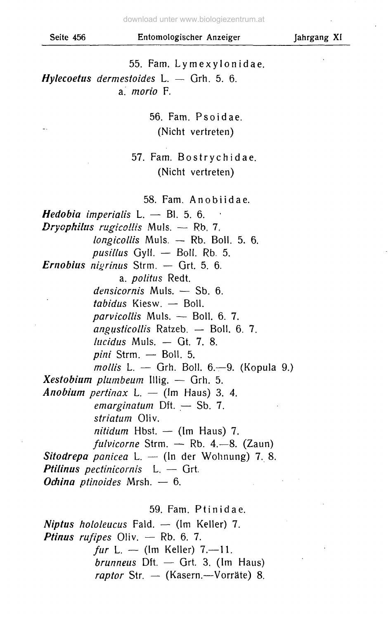55. Fam. Lymexylonidae. *Hylecoetus dermestoides* L. — Grh. 5. 6. a. *morio* F.

> 56. Fam. Psoidae . (Nicht vertreten)

## 57. Fam. Bostrychidae . (Nicht vertreten)

58. Fam. Anobiidae.

*Hedobia imperialis* **L.** — Bl. 5. 6. *Dryophilus rugicollis* Muls. — Rb, 7. *longicollis* Muls. — Rb. Boll. 5. 6. *pusillus* Gyll. — Boll. Rb. 5. *Ernobius nigrinus* Strm. — Grt. 5. 6. a. *politus* Redt. *densicornis* Muls. — Sb. 6. *tabidus* Kiesw. — Boll. *parvicollis* Muls. — Boll. 6. 7. *angusticollis* Ratzeb. — Boll. 6. 7. *lucid us* Muls. — Gt. 7. 8. *pini* Strm. — Boll. 5. *mollis* L. - Grh. Boll. 6.-9. (Kopula 9.) *Xestobium plumbeum* Illig. — Grh. 5. *Anobium pertinax* L. — (Im Haus) 3. 4. *emarginatum* Dft. — Sb. 7. *stn'atum* Oliv. *nitidum* Hbst. — (Im Haus) 7. *fulvicorne* Strm. — Rb. 4.—8. (Zaun) *Sitodrepa panicea* L. — (In der Wohnung) 7. 8. *Ptilinus pectinicornis* L. — Grt. *Odiino ptinoides* Mrsh. — 6.

59. Fam. Ptinidae .

*Niptus hololeucus* Fald. — (Im Keller) 7. *Ptinus rufipes* Oliv. — Rb. 6. 7. *fur* L. — (Im Keller) 7.—11. *brunneus* Dft. — Grt. 3. (Im Haus) *raptor* Str. — (Käsern.—Vorräte) 8.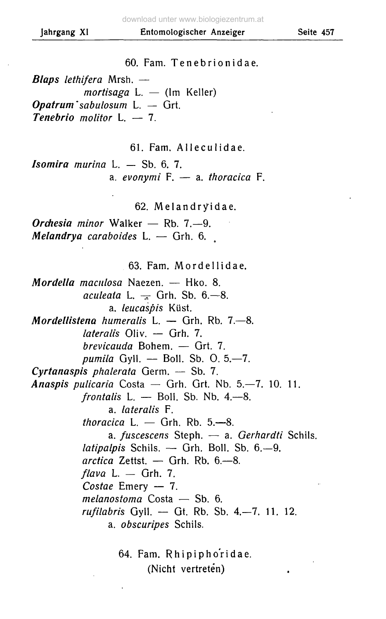60. Fam. Tenebrionidae .

*Blaps lethifera* Mrsh. *mortisaga* L. — (Im Keller) *Opatrum\*sabulosum* L. — Grt. *Tenebrio molitor* L, — 7.

61. Fam. Alleculidae.

*Isomira murina* L. — Sb. 6. 7. a. *evonymi* F. — a. *thoracica* F.

62. Melandryïdae.

*Orchesia minor* Walker — Rb. 7.-9. *Melandrya caraboides* **L.** — Grh. 6.

63. Fam. Mordellidae.

*Mordella maculosa* Naezen. — Hko. 8. *aculeaia* L. — Grh. Sb. 6.—8. a. *leucaspis* Küst. *Mordellistena humeralis* L. — Grh. Rb. 7.—8. *iateralis* Oliv. — Grh. 7. *brevicauda* Bohem. — Grt. 7. *pumila* Gyll. - Boll. Sb. O. 5,-7. *Cyrtanaspis phalerata* Germ. — Sb. 7. *Anaspis pulicaria* Costa — Grh. Grt. Nb. 5.—7. 10. 11. *frontalis* L. - Boll. Sb. Nb. 4.-8. a. *Iateralis* F. *thoracica* L. — Grh. Rb. 5.—8. a. *fuscescens* Steph. — a. *Gerhardti* Schils. *latipalpis* Schils. — Grh. Boll. Sb. 6.—9. *aretica* Zettst. — Grh. Rb. 6.-8. *flava* L. — Grh. 7. *Costae* Emery — 7. *melanostoma* Costa — Sb. 6. *rufilabris* Gyll. — Gt. Rb. Sb. 4.—7. 11. 12. a. *obscuripes* Schils.

> 64. Fam. Rhipipho'ridae. (Nicht vertreten)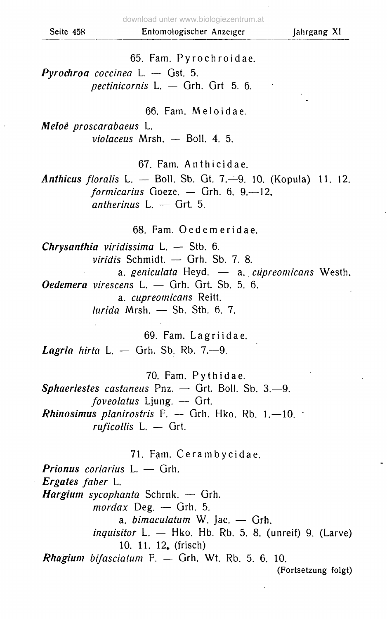65. Fam. Pyrochroidae .

*Pyrochroa coccinea* L. — Gst. 5. *pectinicornis* L. — Grh. Grt 5. 6.

66. Fam. Meloidae.

*Meloë proscarabaeus* L. *violaceus* Mrsh. — Boll. 4. 5.

67. Fam. Anthicidae.

*Anthicus floralis* L. — Boll. Sb. Gt. 7.-9. 10. (Kopula) 11. 12. *formicarius* Goeze. — Grh. 6. 9.—12. *antherinus* **L.** — **Grt.** 5.

68. Fam. Oedemeridae .

*Chrysanthia viridissima* L. — Stb. 6. *viridis* Schmidt. — Grh. Sb. 7. 8. a. *geniculata* Heyd. — a. *cüpreomicans* Westh. *Oedemera virescens* L. — Grh. Grt. Sb. 5. 6. a. *cüpreomicans* Reitt. *lurida* Mrsh. — Sb. Stb. 6. 7.

69. Fam. Lagriidae . *Lagria hirta* L. — Grh. Sb. Rb. 7—9.

70. Fam. Pythidae .

*Sphaeriestes castaneus* Pnz. — Grt. Boll. Sb. 3.—9. *foveolatus* Ljung. — Grt. *Rhinosimus planirostris* F. — Grh. Hko. Rb. 1.—10. • *ruficollis* L. — Grt.

71. Fam. Cerambycidae.

*Prionus coriarius* L. — Grh. *Ergates faber* L. *Hargium sycophanta* Schrnk. — Grh. *mordax* Deg. — Grh. 5. a. *bimaculatum* W. Jac. — Grh. *inquisitor* L. — Hko. Hb. Rb. 5. 8. (unreif) 9. (Larve) 10. 11. 12. (frisch) *Rhagium bifasciatum* F. — Grh. Wt. Rb. 5. 6. 10. (Fortsetzung folgt)